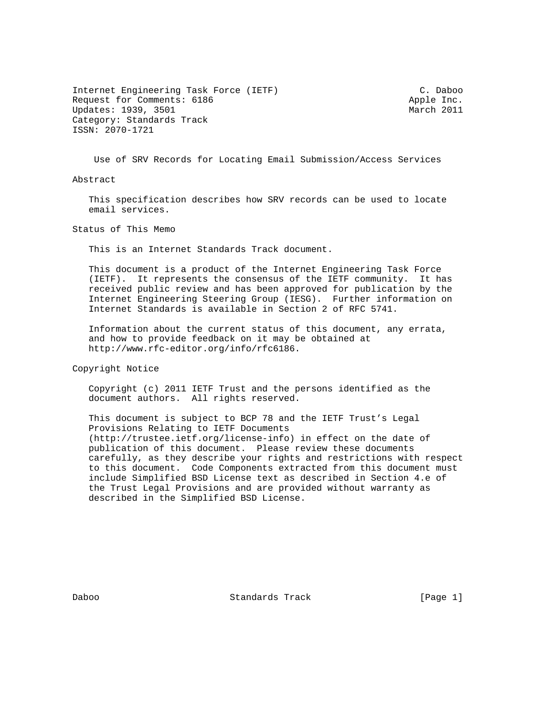Internet Engineering Task Force (IETF) C. Daboo Request for Comments: 6186 Apple Inc. Updates: 1939, 3501 March 2011 Category: Standards Track ISSN: 2070-1721

Use of SRV Records for Locating Email Submission/Access Services

Abstract

 This specification describes how SRV records can be used to locate email services.

Status of This Memo

This is an Internet Standards Track document.

 This document is a product of the Internet Engineering Task Force (IETF). It represents the consensus of the IETF community. It has received public review and has been approved for publication by the Internet Engineering Steering Group (IESG). Further information on Internet Standards is available in Section 2 of RFC 5741.

 Information about the current status of this document, any errata, and how to provide feedback on it may be obtained at http://www.rfc-editor.org/info/rfc6186.

Copyright Notice

 Copyright (c) 2011 IETF Trust and the persons identified as the document authors. All rights reserved.

 This document is subject to BCP 78 and the IETF Trust's Legal Provisions Relating to IETF Documents (http://trustee.ietf.org/license-info) in effect on the date of publication of this document. Please review these documents carefully, as they describe your rights and restrictions with respect to this document. Code Components extracted from this document must include Simplified BSD License text as described in Section 4.e of the Trust Legal Provisions and are provided without warranty as described in the Simplified BSD License.

Daboo Standards Track [Page 1]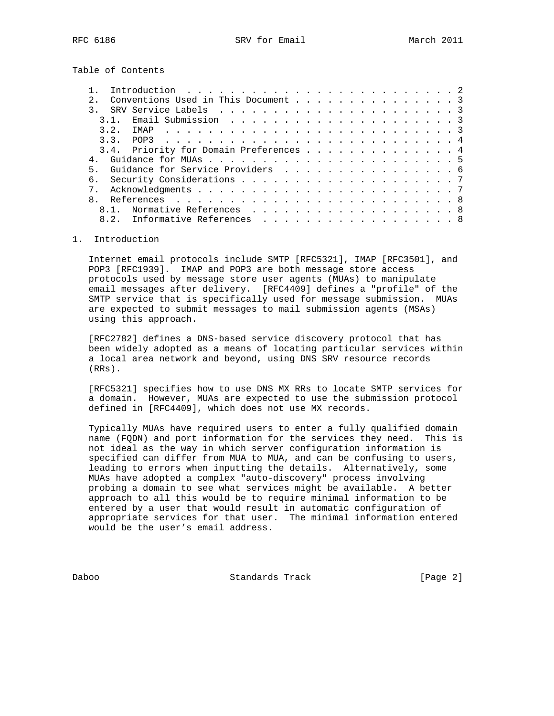Table of Contents

|  |    | Conventions Used in This Document 3    |  |  |  |  |  |  |  |  |  |  |  |  |
|--|----|----------------------------------------|--|--|--|--|--|--|--|--|--|--|--|--|
|  |    |                                        |  |  |  |  |  |  |  |  |  |  |  |  |
|  |    |                                        |  |  |  |  |  |  |  |  |  |  |  |  |
|  | 32 | IMAP                                   |  |  |  |  |  |  |  |  |  |  |  |  |
|  |    |                                        |  |  |  |  |  |  |  |  |  |  |  |  |
|  |    | 3.4. Priority for Domain Preferences 4 |  |  |  |  |  |  |  |  |  |  |  |  |
|  |    |                                        |  |  |  |  |  |  |  |  |  |  |  |  |
|  |    | Guidance for Service Providers 6       |  |  |  |  |  |  |  |  |  |  |  |  |
|  |    |                                        |  |  |  |  |  |  |  |  |  |  |  |  |
|  |    |                                        |  |  |  |  |  |  |  |  |  |  |  |  |
|  |    |                                        |  |  |  |  |  |  |  |  |  |  |  |  |
|  |    | 8.1. Normative References 8            |  |  |  |  |  |  |  |  |  |  |  |  |
|  |    | 8.2. Informative References 8          |  |  |  |  |  |  |  |  |  |  |  |  |
|  |    |                                        |  |  |  |  |  |  |  |  |  |  |  |  |

## 1. Introduction

 Internet email protocols include SMTP [RFC5321], IMAP [RFC3501], and POP3 [RFC1939]. IMAP and POP3 are both message store access protocols used by message store user agents (MUAs) to manipulate email messages after delivery. [RFC4409] defines a "profile" of the SMTP service that is specifically used for message submission. MUAs are expected to submit messages to mail submission agents (MSAs) using this approach.

 [RFC2782] defines a DNS-based service discovery protocol that has been widely adopted as a means of locating particular services within a local area network and beyond, using DNS SRV resource records (RRs).

 [RFC5321] specifies how to use DNS MX RRs to locate SMTP services for a domain. However, MUAs are expected to use the submission protocol defined in [RFC4409], which does not use MX records.

 Typically MUAs have required users to enter a fully qualified domain name (FQDN) and port information for the services they need. This is not ideal as the way in which server configuration information is specified can differ from MUA to MUA, and can be confusing to users, leading to errors when inputting the details. Alternatively, some MUAs have adopted a complex "auto-discovery" process involving probing a domain to see what services might be available. A better approach to all this would be to require minimal information to be entered by a user that would result in automatic configuration of appropriate services for that user. The minimal information entered would be the user's email address.

Daboo Standards Track [Page 2]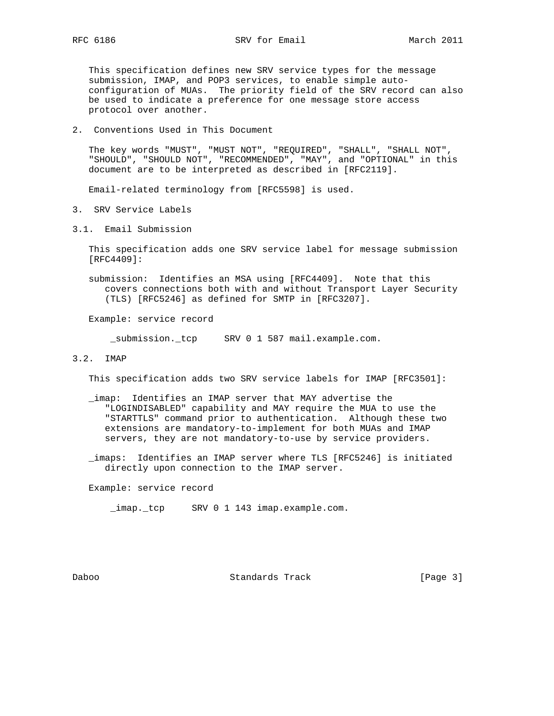This specification defines new SRV service types for the message submission, IMAP, and POP3 services, to enable simple auto configuration of MUAs. The priority field of the SRV record can also be used to indicate a preference for one message store access protocol over another.

2. Conventions Used in This Document

 The key words "MUST", "MUST NOT", "REQUIRED", "SHALL", "SHALL NOT", "SHOULD", "SHOULD NOT", "RECOMMENDED", "MAY", and "OPTIONAL" in this document are to be interpreted as described in [RFC2119].

Email-related terminology from [RFC5598] is used.

- 3. SRV Service Labels
- 3.1. Email Submission

 This specification adds one SRV service label for message submission [RFC4409]:

 submission: Identifies an MSA using [RFC4409]. Note that this covers connections both with and without Transport Layer Security (TLS) [RFC5246] as defined for SMTP in [RFC3207].

Example: service record

submission. tcp SRV 0 1 587 mail.example.com.

3.2. IMAP

This specification adds two SRV service labels for IMAP [RFC3501]:

- \_imap: Identifies an IMAP server that MAY advertise the "LOGINDISABLED" capability and MAY require the MUA to use the "STARTTLS" command prior to authentication. Although these two extensions are mandatory-to-implement for both MUAs and IMAP servers, they are not mandatory-to-use by service providers.
- \_imaps: Identifies an IMAP server where TLS [RFC5246] is initiated directly upon connection to the IMAP server.

Example: service record

\_imap.\_tcp SRV 0 1 143 imap.example.com.

Daboo Standards Track [Page 3]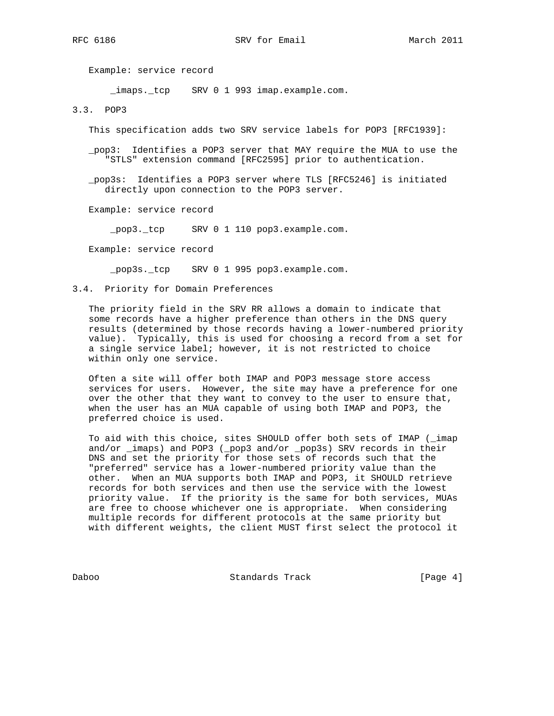Example: service record

\_imaps.\_tcp SRV 0 1 993 imap.example.com.

3.3. POP3

This specification adds two SRV service labels for POP3 [RFC1939]:

 \_pop3: Identifies a POP3 server that MAY require the MUA to use the "STLS" extension command [RFC2595] prior to authentication.

 \_pop3s: Identifies a POP3 server where TLS [RFC5246] is initiated directly upon connection to the POP3 server.

Example: service record

\_pop3.\_tcp SRV 0 1 110 pop3.example.com.

Example: service record

\_pop3s.\_tcp SRV 0 1 995 pop3.example.com.

3.4. Priority for Domain Preferences

 The priority field in the SRV RR allows a domain to indicate that some records have a higher preference than others in the DNS query results (determined by those records having a lower-numbered priority value). Typically, this is used for choosing a record from a set for a single service label; however, it is not restricted to choice within only one service.

 Often a site will offer both IMAP and POP3 message store access services for users. However, the site may have a preference for one over the other that they want to convey to the user to ensure that, when the user has an MUA capable of using both IMAP and POP3, the preferred choice is used.

 To aid with this choice, sites SHOULD offer both sets of IMAP (\_imap and/or \_imaps) and POP3 (\_pop3 and/or \_pop3s) SRV records in their DNS and set the priority for those sets of records such that the "preferred" service has a lower-numbered priority value than the other. When an MUA supports both IMAP and POP3, it SHOULD retrieve records for both services and then use the service with the lowest priority value. If the priority is the same for both services, MUAs are free to choose whichever one is appropriate. When considering multiple records for different protocols at the same priority but with different weights, the client MUST first select the protocol it

Daboo Standards Track [Page 4]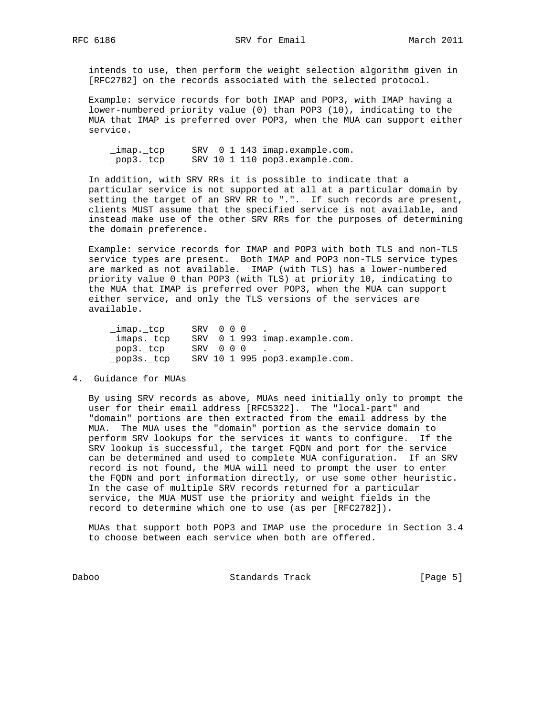intends to use, then perform the weight selection algorithm given in [RFC2782] on the records associated with the selected protocol.

 Example: service records for both IMAP and POP3, with IMAP having a lower-numbered priority value (0) than POP3 (10), indicating to the MUA that IMAP is preferred over POP3, when the MUA can support either service.

 \_imap.\_tcp SRV 0 1 143 imap.example.com. \_pop3.\_tcp SRV 10 1 110 pop3.example.com.

 In addition, with SRV RRs it is possible to indicate that a particular service is not supported at all at a particular domain by setting the target of an SRV RR to ".". If such records are present, clients MUST assume that the specified service is not available, and instead make use of the other SRV RRs for the purposes of determining the domain preference.

 Example: service records for IMAP and POP3 with both TLS and non-TLS service types are present. Both IMAP and POP3 non-TLS service types are marked as not available. IMAP (with TLS) has a lower-numbered priority value 0 than POP3 (with TLS) at priority 10, indicating to the MUA that IMAP is preferred over POP3, when the MUA can support either service, and only the TLS versions of the services are available.

| imap. tcp   | SRV 000 |  |          |                                |
|-------------|---------|--|----------|--------------------------------|
| imaps. tcp  |         |  |          | SRV 0 1 993 imap.example.com.  |
| pop3. tcp   |         |  | SRV 000. |                                |
| _pop3s._tcp |         |  |          | SRV 10 1 995 pop3.example.com. |

4. Guidance for MUAs

 By using SRV records as above, MUAs need initially only to prompt the user for their email address [RFC5322]. The "local-part" and "domain" portions are then extracted from the email address by the MUA. The MUA uses the "domain" portion as the service domain to perform SRV lookups for the services it wants to configure. If the SRV lookup is successful, the target FQDN and port for the service can be determined and used to complete MUA configuration. If an SRV record is not found, the MUA will need to prompt the user to enter the FQDN and port information directly, or use some other heuristic. In the case of multiple SRV records returned for a particular service, the MUA MUST use the priority and weight fields in the record to determine which one to use (as per [RFC2782]).

 MUAs that support both POP3 and IMAP use the procedure in Section 3.4 to choose between each service when both are offered.

Daboo Standards Track [Page 5]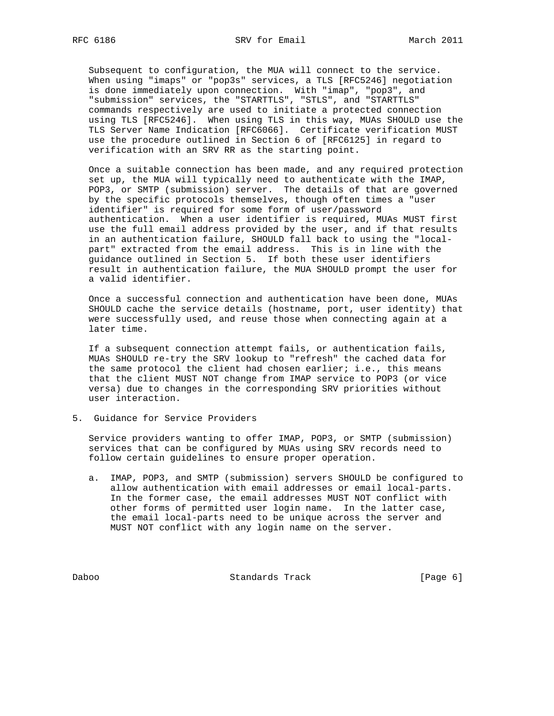Subsequent to configuration, the MUA will connect to the service. When using "imaps" or "pop3s" services, a TLS [RFC5246] negotiation is done immediately upon connection. With "imap", "pop3", and "submission" services, the "STARTTLS", "STLS", and "STARTTLS" commands respectively are used to initiate a protected connection using TLS [RFC5246]. When using TLS in this way, MUAs SHOULD use the TLS Server Name Indication [RFC6066]. Certificate verification MUST use the procedure outlined in Section 6 of [RFC6125] in regard to verification with an SRV RR as the starting point.

 Once a suitable connection has been made, and any required protection set up, the MUA will typically need to authenticate with the IMAP, POP3, or SMTP (submission) server. The details of that are governed by the specific protocols themselves, though often times a "user identifier" is required for some form of user/password authentication. When a user identifier is required, MUAs MUST first use the full email address provided by the user, and if that results in an authentication failure, SHOULD fall back to using the "local part" extracted from the email address. This is in line with the guidance outlined in Section 5. If both these user identifiers result in authentication failure, the MUA SHOULD prompt the user for a valid identifier.

 Once a successful connection and authentication have been done, MUAs SHOULD cache the service details (hostname, port, user identity) that were successfully used, and reuse those when connecting again at a later time.

 If a subsequent connection attempt fails, or authentication fails, MUAs SHOULD re-try the SRV lookup to "refresh" the cached data for the same protocol the client had chosen earlier; i.e., this means that the client MUST NOT change from IMAP service to POP3 (or vice versa) due to changes in the corresponding SRV priorities without user interaction.

5. Guidance for Service Providers

 Service providers wanting to offer IMAP, POP3, or SMTP (submission) services that can be configured by MUAs using SRV records need to follow certain guidelines to ensure proper operation.

 a. IMAP, POP3, and SMTP (submission) servers SHOULD be configured to allow authentication with email addresses or email local-parts. In the former case, the email addresses MUST NOT conflict with other forms of permitted user login name. In the latter case, the email local-parts need to be unique across the server and MUST NOT conflict with any login name on the server.

Daboo Standards Track [Page 6]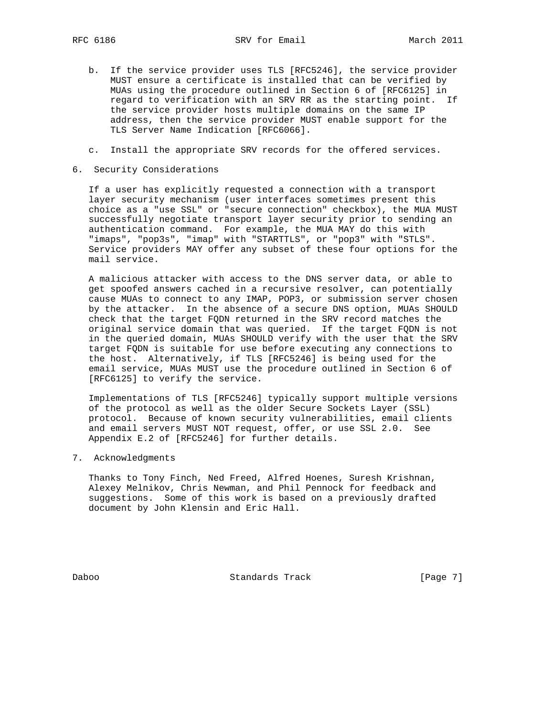- b. If the service provider uses TLS [RFC5246], the service provider MUST ensure a certificate is installed that can be verified by MUAs using the procedure outlined in Section 6 of [RFC6125] in regard to verification with an SRV RR as the starting point. If the service provider hosts multiple domains on the same IP address, then the service provider MUST enable support for the TLS Server Name Indication [RFC6066].
- c. Install the appropriate SRV records for the offered services.
- 6. Security Considerations

 If a user has explicitly requested a connection with a transport layer security mechanism (user interfaces sometimes present this choice as a "use SSL" or "secure connection" checkbox), the MUA MUST successfully negotiate transport layer security prior to sending an authentication command. For example, the MUA MAY do this with "imaps", "pop3s", "imap" with "STARTTLS", or "pop3" with "STLS". Service providers MAY offer any subset of these four options for the mail service.

 A malicious attacker with access to the DNS server data, or able to get spoofed answers cached in a recursive resolver, can potentially cause MUAs to connect to any IMAP, POP3, or submission server chosen by the attacker. In the absence of a secure DNS option, MUAs SHOULD check that the target FQDN returned in the SRV record matches the original service domain that was queried. If the target FQDN is not in the queried domain, MUAs SHOULD verify with the user that the SRV target FQDN is suitable for use before executing any connections to the host. Alternatively, if TLS [RFC5246] is being used for the email service, MUAs MUST use the procedure outlined in Section 6 of [RFC6125] to verify the service.

 Implementations of TLS [RFC5246] typically support multiple versions of the protocol as well as the older Secure Sockets Layer (SSL) protocol. Because of known security vulnerabilities, email clients and email servers MUST NOT request, offer, or use SSL 2.0. See Appendix E.2 of [RFC5246] for further details.

7. Acknowledgments

 Thanks to Tony Finch, Ned Freed, Alfred Hoenes, Suresh Krishnan, Alexey Melnikov, Chris Newman, and Phil Pennock for feedback and suggestions. Some of this work is based on a previously drafted document by John Klensin and Eric Hall.

Daboo Standards Track [Page 7]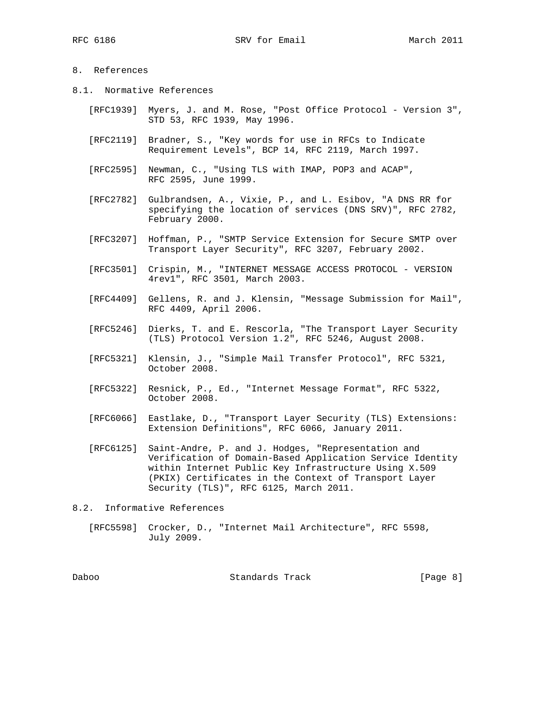## 8. References

- 8.1. Normative References
	- [RFC1939] Myers, J. and M. Rose, "Post Office Protocol Version 3", STD 53, RFC 1939, May 1996.
	- [RFC2119] Bradner, S., "Key words for use in RFCs to Indicate Requirement Levels", BCP 14, RFC 2119, March 1997.
	- [RFC2595] Newman, C., "Using TLS with IMAP, POP3 and ACAP", RFC 2595, June 1999.
	- [RFC2782] Gulbrandsen, A., Vixie, P., and L. Esibov, "A DNS RR for specifying the location of services (DNS SRV)", RFC 2782, February 2000.
	- [RFC3207] Hoffman, P., "SMTP Service Extension for Secure SMTP over Transport Layer Security", RFC 3207, February 2002.
	- [RFC3501] Crispin, M., "INTERNET MESSAGE ACCESS PROTOCOL VERSION 4rev1", RFC 3501, March 2003.
	- [RFC4409] Gellens, R. and J. Klensin, "Message Submission for Mail", RFC 4409, April 2006.
- [RFC5246] Dierks, T. and E. Rescorla, "The Transport Layer Security (TLS) Protocol Version 1.2", RFC 5246, August 2008.
	- [RFC5321] Klensin, J., "Simple Mail Transfer Protocol", RFC 5321, October 2008.
	- [RFC5322] Resnick, P., Ed., "Internet Message Format", RFC 5322, October 2008.
	- [RFC6066] Eastlake, D., "Transport Layer Security (TLS) Extensions: Extension Definitions", RFC 6066, January 2011.
	- [RFC6125] Saint-Andre, P. and J. Hodges, "Representation and Verification of Domain-Based Application Service Identity within Internet Public Key Infrastructure Using X.509 (PKIX) Certificates in the Context of Transport Layer Security (TLS)", RFC 6125, March 2011.
- 8.2. Informative References
	- [RFC5598] Crocker, D., "Internet Mail Architecture", RFC 5598, July 2009.

Daboo Standards Track [Page 8]